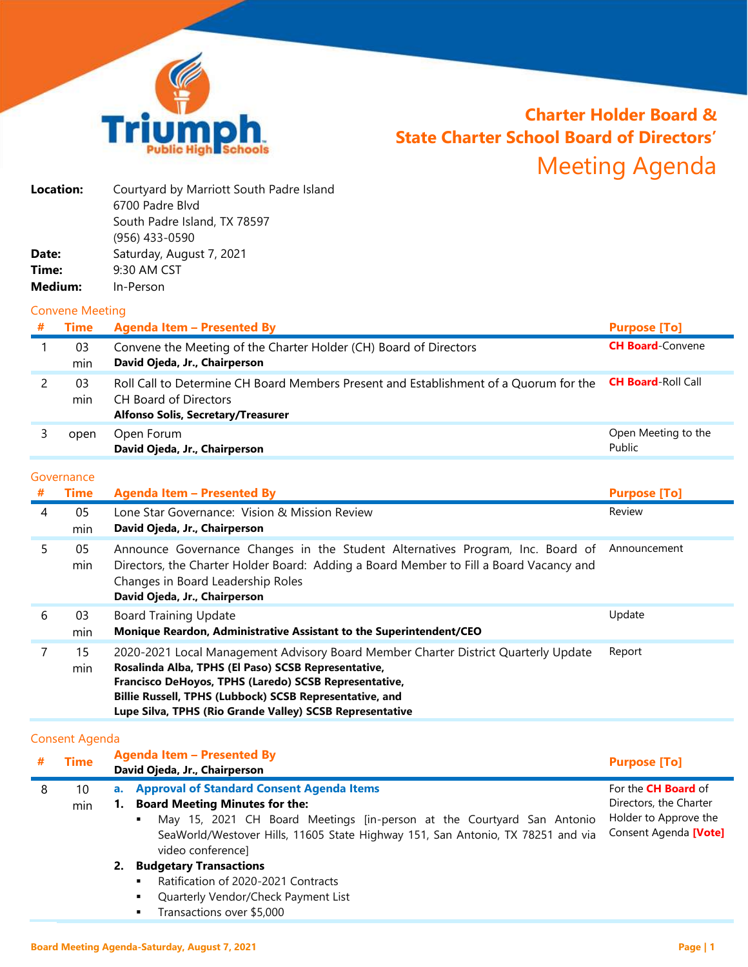

# **Charter Holder Board & State Charter School Board of Directors'** Meeting Agenda

| Location: | Courtyard by Marriott South Padre Island |
|-----------|------------------------------------------|
|           | 6700 Padre Blyd                          |
|           | South Padre Island, TX 78597             |
|           | (956) 433-0590                           |
| Date:     | Saturday, August 7, 2021                 |
| Time:     | 9:30 AM CST                              |
| Medium:   | In-Person                                |

#### Convene Meeting

| <b>Time</b> | <b>Agenda Item - Presented By</b>                                                                                                                           | <b>Purpose [To]</b>           |
|-------------|-------------------------------------------------------------------------------------------------------------------------------------------------------------|-------------------------------|
| 03<br>min   | Convene the Meeting of the Charter Holder (CH) Board of Directors<br>David Ojeda, Jr., Chairperson                                                          | <b>CH Board-Convene</b>       |
| 03<br>min   | Roll Call to Determine CH Board Members Present and Establishment of a Quorum for the<br>CH Board of Directors<br><b>Alfonso Solis, Secretary/Treasurer</b> | <b>CH Board</b> Roll Call     |
| open        | Open Forum<br>David Ojeda, Jr., Chairperson                                                                                                                 | Open Meeting to the<br>Public |

#### Governance

|    | <b>OUVEITIQITLE</b> |                                                                                                                                                                                                                                                                                                                           |                     |
|----|---------------------|---------------------------------------------------------------------------------------------------------------------------------------------------------------------------------------------------------------------------------------------------------------------------------------------------------------------------|---------------------|
| #  | <b>Time</b>         | <b>Agenda Item - Presented By</b>                                                                                                                                                                                                                                                                                         | <b>Purpose [To]</b> |
| 4  | 05<br>min           | Lone Star Governance: Vision & Mission Review<br>David Ojeda, Jr., Chairperson                                                                                                                                                                                                                                            | Review              |
| 5. | 05<br>min           | Announce Governance Changes in the Student Alternatives Program, Inc. Board of<br>Directors, the Charter Holder Board: Adding a Board Member to Fill a Board Vacancy and<br>Changes in Board Leadership Roles<br>David Ojeda, Jr., Chairperson                                                                            | Announcement        |
| 6  | 03<br>min           | <b>Board Training Update</b><br>Monique Reardon, Administrative Assistant to the Superintendent/CEO                                                                                                                                                                                                                       | Update              |
|    | 15<br>min           | 2020-2021 Local Management Advisory Board Member Charter District Quarterly Update<br>Rosalinda Alba, TPHS (El Paso) SCSB Representative,<br>Francisco DeHoyos, TPHS (Laredo) SCSB Representative,<br>Billie Russell, TPHS (Lubbock) SCSB Representative, and<br>Lupe Silva, TPHS (Rio Grande Valley) SCSB Representative | Report              |

## Consent Agenda

|   | <b>Time</b> |    | <b>Agenda Item - Presented By</b><br>David Ojeda, Jr., Chairperson                                                                                                                  | <b>Purpose [To]</b>                            |
|---|-------------|----|-------------------------------------------------------------------------------------------------------------------------------------------------------------------------------------|------------------------------------------------|
| 8 | 10          |    | a. Approval of Standard Consent Agenda Items                                                                                                                                        | For the <b>CH Board</b> of                     |
|   | min         |    | 1. Board Meeting Minutes for the:                                                                                                                                                   | Directors, the Charter                         |
|   |             |    | May 15, 2021 CH Board Meetings [in-person at the Courtyard San Antonio<br>٠<br>SeaWorld/Westover Hills, 11605 State Highway 151, San Antonio, TX 78251 and via<br>video conference] | Holder to Approve the<br>Consent Agenda [Vote] |
|   |             | 2. | <b>Budgetary Transactions</b>                                                                                                                                                       |                                                |
|   |             |    | Ratification of 2020-2021 Contracts<br>$\blacksquare$                                                                                                                               |                                                |
|   |             |    | Quarterly Vendor/Check Payment List<br>٠                                                                                                                                            |                                                |

**Transactions over \$5,000**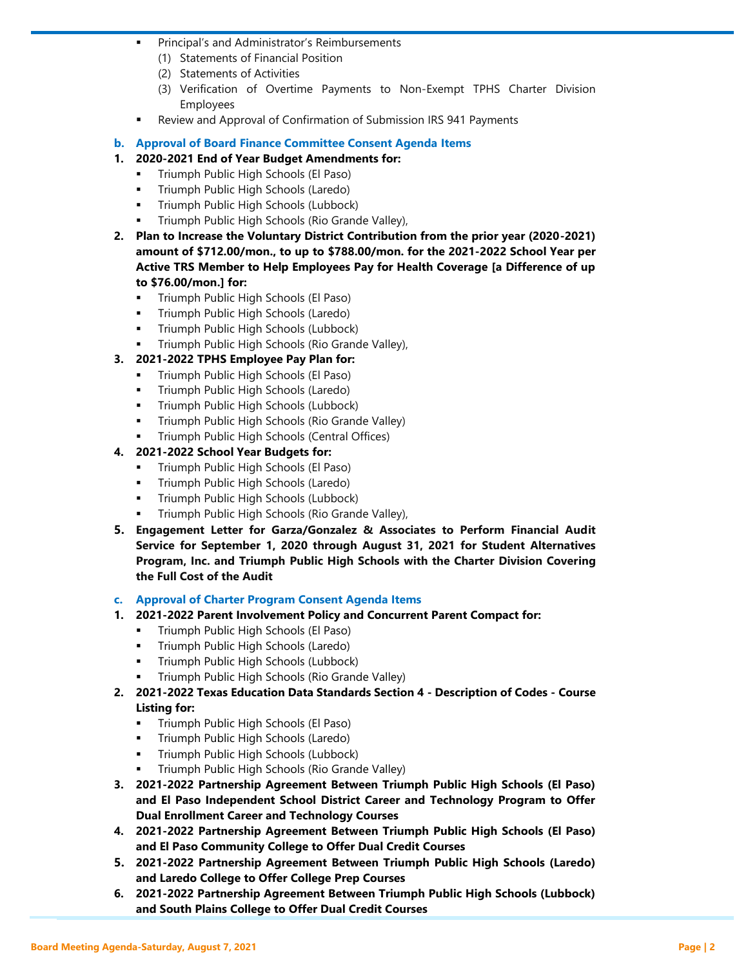- **Principal's and Administrator's Reimbursements** 
	- (1) Statements of Financial Position
	- (2) Statements of Activities
	- (3) Verification of Overtime Payments to Non-Exempt TPHS Charter Division Employees
- Review and Approval of Confirmation of Submission IRS 941 Payments
- **b. Approval of Board Finance Committee Consent Agenda Items**
- **1. 2020-2021 End of Year Budget Amendments for:**
	- Triumph Public High Schools (El Paso)
	- Triumph Public High Schools (Laredo)
	- Triumph Public High Schools (Lubbock)
	- Triumph Public High Schools (Rio Grande Valley),
- **2. Plan to Increase the Voluntary District Contribution from the prior year (2020-2021) amount of \$712.00/mon., to up to \$788.00/mon. for the 2021-2022 School Year per Active TRS Member to Help Employees Pay for Health Coverage [a Difference of up to \$76.00/mon.] for:**
	- **Triumph Public High Schools (El Paso)**
	- Triumph Public High Schools (Laredo)
	- Triumph Public High Schools (Lubbock)
	- Triumph Public High Schools (Rio Grande Valley),
- **3. 2021-2022 TPHS Employee Pay Plan for:**
	- Triumph Public High Schools (El Paso)
	- Triumph Public High Schools (Laredo)
	- Triumph Public High Schools (Lubbock)
	- **Triumph Public High Schools (Rio Grande Valley)**
	- Triumph Public High Schools (Central Offices)
- **4. 2021-2022 School Year Budgets for:**
	- Triumph Public High Schools (El Paso)
	- Triumph Public High Schools (Laredo)
	- **Triumph Public High Schools (Lubbock)**
	- Triumph Public High Schools (Rio Grande Valley),
- **5. Engagement Letter for Garza/Gonzalez & Associates to Perform Financial Audit Service for September 1, 2020 through August 31, 2021 for Student Alternatives Program, Inc. and Triumph Public High Schools with the Charter Division Covering the Full Cost of the Audit**
- **c. Approval of Charter Program Consent Agenda Items**
- **1. 2021-2022 Parent Involvement Policy and Concurrent Parent Compact for:**
	- Triumph Public High Schools (El Paso)
	- **Triumph Public High Schools (Laredo)**
	- Triumph Public High Schools (Lubbock)
	- Triumph Public High Schools (Rio Grande Valley)
- **2. 2021-2022 Texas Education Data Standards Section 4 - Description of Codes - Course Listing for:**
	- **Triumph Public High Schools (El Paso)**
	- Triumph Public High Schools (Laredo)
	- Triumph Public High Schools (Lubbock)
	- Triumph Public High Schools (Rio Grande Valley)
- **3. 2021-2022 Partnership Agreement Between Triumph Public High Schools (El Paso) and El Paso Independent School District Career and Technology Program to Offer Dual Enrollment Career and Technology Courses**
- **4. 2021-2022 Partnership Agreement Between Triumph Public High Schools (El Paso) and El Paso Community College to Offer Dual Credit Courses**
- **5. 2021-2022 Partnership Agreement Between Triumph Public High Schools (Laredo) and Laredo College to Offer College Prep Courses**
- **6. 2021-2022 Partnership Agreement Between Triumph Public High Schools (Lubbock) and South Plains College to Offer Dual Credit Courses**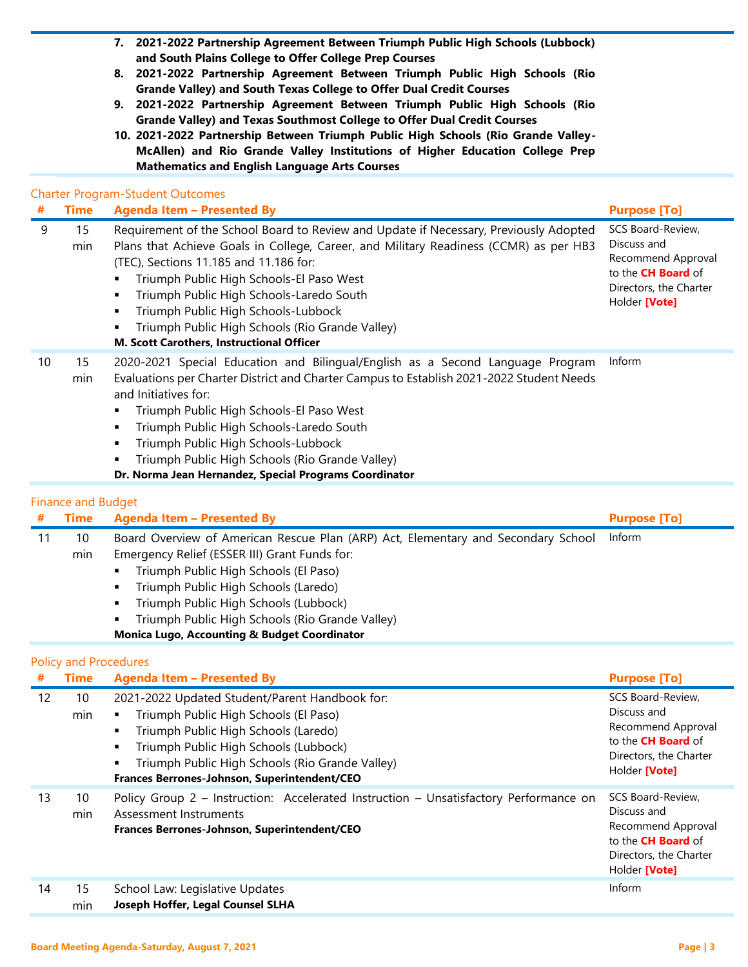- **7. 2021-2022 Partnership Agreement Between Triumph Public High Schools (Lubbock) and South Plains College to Offer College Prep Courses**
- **8. 2021-2022 Partnership Agreement Between Triumph Public High Schools (Rio Grande Valley) and South Texas College to Offer Dual Credit Courses**
- **9. 2021-2022 Partnership Agreement Between Triumph Public High Schools (Rio Grande Valley) and Texas Southmost College to Offer Dual Credit Courses**
- **10. 2021-2022 Partnership Between Triumph Public High Schools (Rio Grande Valley-McAllen) and Rio Grande Valley Institutions of Higher Education College Prep Mathematics and English Language Arts Courses**

### Charter Program-Student Outcomes

| #  | <b>Time</b>               | <b>Agenda Item - Presented By</b>                                                                                                                                                                                                                                                                                                                                                                                                                       | <b>Purpose [To]</b>                                                                                                            |
|----|---------------------------|---------------------------------------------------------------------------------------------------------------------------------------------------------------------------------------------------------------------------------------------------------------------------------------------------------------------------------------------------------------------------------------------------------------------------------------------------------|--------------------------------------------------------------------------------------------------------------------------------|
| 9  | 15<br>min                 | Requirement of the School Board to Review and Update if Necessary, Previously Adopted<br>Plans that Achieve Goals in College, Career, and Military Readiness (CCMR) as per HB3<br>(TEC), Sections 11.185 and 11.186 for:<br>Triumph Public High Schools-El Paso West<br>Triumph Public High Schools-Laredo South<br>Triumph Public High Schools-Lubbock<br>Triumph Public High Schools (Rio Grande Valley)<br>M. Scott Carothers, Instructional Officer | SCS Board-Review,<br>Discuss and<br>Recommend Approval<br>to the <b>CH Board</b> of<br>Directors, the Charter<br>Holder [Vote] |
| 10 | 15<br>min                 | 2020-2021 Special Education and Bilingual/English as a Second Language Program<br>Evaluations per Charter District and Charter Campus to Establish 2021-2022 Student Needs<br>and Initiatives for:<br>Triumph Public High Schools-El Paso West<br>Triumph Public High Schools-Laredo South<br>Triumph Public High Schools-Lubbock<br>Triumph Public High Schools (Rio Grande Valley)<br>Dr. Norma Jean Hernandez, Special Programs Coordinator          | Inform                                                                                                                         |
|    | <b>Finance and Budget</b> |                                                                                                                                                                                                                                                                                                                                                                                                                                                         |                                                                                                                                |
|    |                           | # Time Agenda Item - Presented By                                                                                                                                                                                                                                                                                                                                                                                                                       | <b>Purnose [To]</b>                                                                                                            |

| # | Time                         | <b>Agenda Item - Presented By</b>                                                 | <b>Purpose [To]</b> |  |  |
|---|------------------------------|-----------------------------------------------------------------------------------|---------------------|--|--|
|   | 10                           | Board Overview of American Rescue Plan (ARP) Act, Elementary and Secondary School | Inform              |  |  |
|   | min                          | Emergency Relief (ESSER III) Grant Funds for:                                     |                     |  |  |
|   |                              | Triumph Public High Schools (El Paso)                                             |                     |  |  |
|   |                              | Triumph Public High Schools (Laredo)                                              |                     |  |  |
|   |                              | Triumph Public High Schools (Lubbock)                                             |                     |  |  |
|   |                              | Triumph Public High Schools (Rio Grande Valley)                                   |                     |  |  |
|   |                              | <b>Monica Lugo, Accounting &amp; Budget Coordinator</b>                           |                     |  |  |
|   | <b>Policy and Procedures</b> |                                                                                   |                     |  |  |

|  | <b>Policy and Procedures</b> |
|--|------------------------------|
|  |                              |

| #  | <b>Time</b> | Agenda Item - Presented By                                                                                                                                                                                                                                                       | <b>Purpose [To]</b>                                                                                                            |
|----|-------------|----------------------------------------------------------------------------------------------------------------------------------------------------------------------------------------------------------------------------------------------------------------------------------|--------------------------------------------------------------------------------------------------------------------------------|
| 12 | 10<br>min   | 2021-2022 Updated Student/Parent Handbook for:<br>Triumph Public High Schools (El Paso)<br>Triumph Public High Schools (Laredo)<br>Triumph Public High Schools (Lubbock)<br>Triumph Public High Schools (Rio Grande Valley)<br>٠<br>Frances Berrones-Johnson, Superintendent/CEO | SCS Board-Review,<br>Discuss and<br>Recommend Approval<br>to the <b>CH Board</b> of<br>Directors, the Charter<br>Holder [Vote] |
| 13 | 10<br>min   | Policy Group 2 – Instruction: Accelerated Instruction – Unsatisfactory Performance on<br>Assessment Instruments<br>Frances Berrones-Johnson, Superintendent/CEO                                                                                                                  | SCS Board-Review.<br>Discuss and<br>Recommend Approval<br>to the <b>CH Board</b> of<br>Directors, the Charter<br>Holder [Vote] |
| 14 | 15<br>min   | School Law: Legislative Updates<br>Joseph Hoffer, Legal Counsel SLHA                                                                                                                                                                                                             | Inform                                                                                                                         |